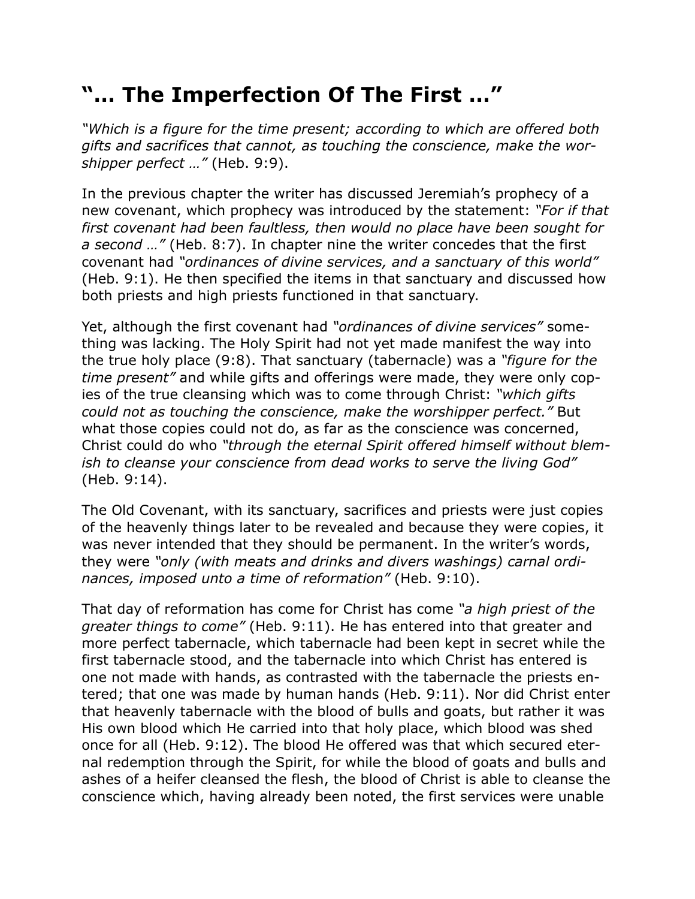## **"… The Imperfection Of The First …"**

*"Which is a figure for the time present; according to which are offered both gifts and sacrifices that cannot, as touching the conscience, make the worshipper perfect …"* (Heb. 9:9).

In the previous chapter the writer has discussed Jeremiah's prophecy of a new covenant, which prophecy was introduced by the statement: *"For if that first covenant had been faultless, then would no place have been sought for a second …"* (Heb. 8:7). In chapter nine the writer concedes that the first covenant had *"ordinances of divine services, and a sanctuary of this world"* (Heb. 9:1). He then specified the items in that sanctuary and discussed how both priests and high priests functioned in that sanctuary.

Yet, although the first covenant had *"ordinances of divine services"* something was lacking. The Holy Spirit had not yet made manifest the way into the true holy place (9:8). That sanctuary (tabernacle) was a *"figure for the time present"* and while gifts and offerings were made, they were only copies of the true cleansing which was to come through Christ: *"which gifts could not as touching the conscience, make the worshipper perfect."* But what those copies could not do, as far as the conscience was concerned, Christ could do who *"through the eternal Spirit offered himself without blemish to cleanse your conscience from dead works to serve the living God"* (Heb. 9:14).

The Old Covenant, with its sanctuary, sacrifices and priests were just copies of the heavenly things later to be revealed and because they were copies, it was never intended that they should be permanent. In the writer's words, they were *"only (with meats and drinks and divers washings) carnal ordinances, imposed unto a time of reformation"* (Heb. 9:10).

That day of reformation has come for Christ has come *"a high priest of the greater things to come"* (Heb. 9:11). He has entered into that greater and more perfect tabernacle, which tabernacle had been kept in secret while the first tabernacle stood, and the tabernacle into which Christ has entered is one not made with hands, as contrasted with the tabernacle the priests entered; that one was made by human hands (Heb. 9:11). Nor did Christ enter that heavenly tabernacle with the blood of bulls and goats, but rather it was His own blood which He carried into that holy place, which blood was shed once for all (Heb. 9:12). The blood He offered was that which secured eternal redemption through the Spirit, for while the blood of goats and bulls and ashes of a heifer cleansed the flesh, the blood of Christ is able to cleanse the conscience which, having already been noted, the first services were unable